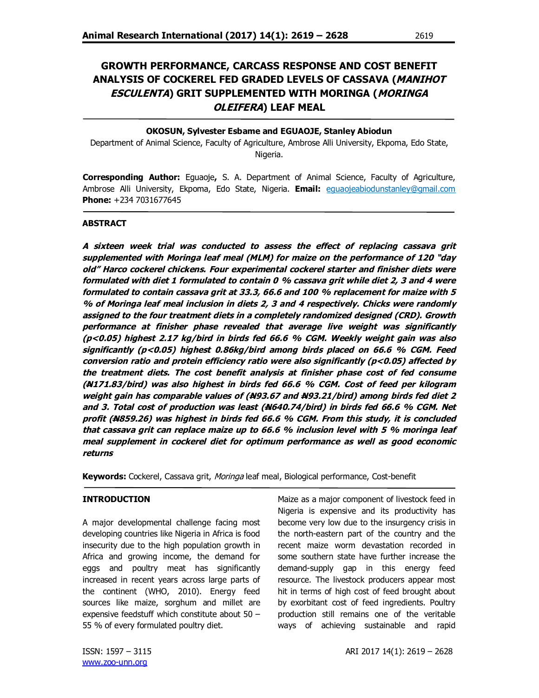# **GROWTH PERFORMANCE, CARCASS RESPONSE AND COST BENEFIT ANALYSIS OF COCKEREL FED GRADED LEVELS OF CASSAVA (MANIHOT ESCULENTA) GRIT SUPPLEMENTED WITH MORINGA (MORINGA OLEIFERA) LEAF MEAL**

## **OKOSUN, Sylvester Esbame and EGUAOJE, Stanley Abiodun**

Department of Animal Science, Faculty of Agriculture, Ambrose Alli University, Ekpoma, Edo State, Nigeria.

**Corresponding Author:** Eguaoje**,** S. A. Department of Animal Science, Faculty of Agriculture, Ambrose Alli University, Ekpoma, Edo State, Nigeria. **Email:** eguaojeabiodunstanley@gmail.com **Phone:** +234 7031677645

#### **ABSTRACT**

**A sixteen week trial was conducted to assess the effect of replacing cassava grit supplemented with Moringa leaf meal (MLM) for maize on the performance of 120 "day old" Harco cockerel chickens. Four experimental cockerel starter and finisher diets were formulated with diet 1 formulated to contain 0 % cassava grit while diet 2, 3 and 4 were formulated to contain cassava grit at 33.3, 66.6 and 100 % replacement for maize with 5 % of Moringa leaf meal inclusion in diets 2, 3 and 4 respectively. Chicks were randomly assigned to the four treatment diets in a completely randomized designed (CRD). Growth performance at finisher phase revealed that average live weight was significantly (p<0.05) highest 2.17 kg/bird in birds fed 66.6 % CGM. Weekly weight gain was also significantly (p<0.05) highest 0.86kg/bird among birds placed on 66.6 % CGM. Feed conversion ratio and protein efficiency ratio were also significantly (p<0.05) affected by the treatment diets. The cost benefit analysis at finisher phase cost of fed consume (N171.83/bird) was also highest in birds fed 66.6 % CGM. Cost of feed per kilogram weight gain has comparable values of (N93.67 and N93.21/bird) among birds fed diet 2 and 3. Total cost of production was least (N640.74/bird) in birds fed 66.6 % CGM. Net profit (N859.26) was highest in birds fed 66.6 % CGM. From this study, it is concluded that cassava grit can replace maize up to 66.6 % inclusion level with 5 % moringa leaf meal supplement in cockerel diet for optimum performance as well as good economic returns**

**Keywords:** Cockerel, Cassava grit, Moringa leaf meal, Biological performance, Cost-benefit

### **INTRODUCTION**

A major developmental challenge facing most developing countries like Nigeria in Africa is food insecurity due to the high population growth in Africa and growing income, the demand for eggs and poultry meat has significantly increased in recent years across large parts of the continent (WHO, 2010). Energy feed sources like maize, sorghum and millet are expensive feedstuff which constitute about 50 – 55 % of every formulated poultry diet.

Maize as a major component of livestock feed in Nigeria is expensive and its productivity has become very low due to the insurgency crisis in the north-eastern part of the country and the recent maize worm devastation recorded in some southern state have further increase the demand-supply gap in this energy feed resource. The livestock producers appear most hit in terms of high cost of feed brought about by exorbitant cost of feed ingredients. Poultry production still remains one of the veritable ways of achieving sustainable and rapid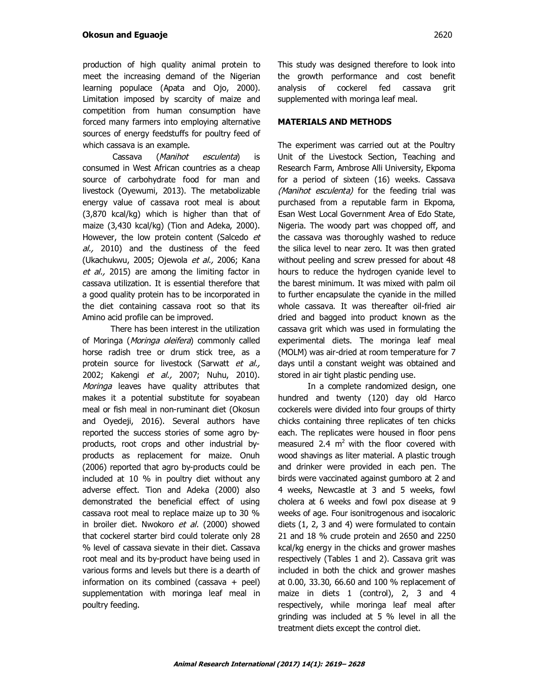production of high quality animal protein to meet the increasing demand of the Nigerian learning populace (Apata and Ojo, 2000). Limitation imposed by scarcity of maize and competition from human consumption have forced many farmers into employing alternative sources of energy feedstuffs for poultry feed of which cassava is an example.

Cassava (Manihot esculenta) is consumed in West African countries as a cheap source of carbohydrate food for man and livestock (Oyewumi, 2013). The metabolizable energy value of cassava root meal is about (3,870 kcal/kg) which is higher than that of maize (3,430 kcal/kg) (Tion and Adeka, 2000). However, the low protein content (Salcedo et al., 2010) and the dustiness of the feed (Ukachukwu, 2005; Ojewola et al., 2006; Kana et al., 2015) are among the limiting factor in cassava utilization. It is essential therefore that a good quality protein has to be incorporated in the diet containing cassava root so that its Amino acid profile can be improved.

 There has been interest in the utilization of Moringa (Moringa oleifera) commonly called horse radish tree or drum stick tree, as a protein source for livestock (Sarwatt et al., 2002; Kakengi et al., 2007; Nuhu, 2010). Moringa leaves have quality attributes that makes it a potential substitute for soyabean meal or fish meal in non-ruminant diet (Okosun and Oyedeji, 2016). Several authors have reported the success stories of some agro byproducts, root crops and other industrial byproducts as replacement for maize. Onuh (2006) reported that agro by-products could be included at 10 % in poultry diet without any adverse effect. Tion and Adeka (2000) also demonstrated the beneficial effect of using cassava root meal to replace maize up to 30 % in broiler diet. Nwokoro et al. (2000) showed that cockerel starter bird could tolerate only 28 % level of cassava sievate in their diet. Cassava root meal and its by-product have being used in various forms and levels but there is a dearth of information on its combined (cassava + peel) supplementation with moringa leaf meal in poultry feeding.

This study was designed therefore to look into the growth performance and cost benefit analysis of cockerel fed cassava grit supplemented with moringa leaf meal.

### **MATERIALS AND METHODS**

The experiment was carried out at the Poultry Unit of the Livestock Section, Teaching and Research Farm, Ambrose Alli University, Ekpoma for a period of sixteen (16) weeks. Cassava (Manihot esculenta) for the feeding trial was purchased from a reputable farm in Ekpoma, Esan West Local Government Area of Edo State, Nigeria. The woody part was chopped off, and the cassava was thoroughly washed to reduce the silica level to near zero. It was then grated without peeling and screw pressed for about 48 hours to reduce the hydrogen cyanide level to the barest minimum. It was mixed with palm oil to further encapsulate the cyanide in the milled whole cassava. It was thereafter oil-fried air dried and bagged into product known as the cassava grit which was used in formulating the experimental diets. The moringa leaf meal (MOLM) was air-dried at room temperature for 7 days until a constant weight was obtained and stored in air tight plastic pending use.

In a complete randomized design, one hundred and twenty (120) day old Harco cockerels were divided into four groups of thirty chicks containing three replicates of ten chicks each. The replicates were housed in floor pens measured 2.4  $m^2$  with the floor covered with wood shavings as liter material. A plastic trough and drinker were provided in each pen. The birds were vaccinated against gumboro at 2 and 4 weeks, Newcastle at 3 and 5 weeks, fowl cholera at 6 weeks and fowl pox disease at 9 weeks of age. Four isonitrogenous and isocaloric diets (1, 2, 3 and 4) were formulated to contain 21 and 18 % crude protein and 2650 and 2250 kcal/kg energy in the chicks and grower mashes respectively (Tables 1 and 2). Cassava grit was included in both the chick and grower mashes at 0.00, 33.30, 66.60 and 100 % replacement of maize in diets 1 (control), 2, 3 and 4 respectively, while moringa leaf meal after grinding was included at 5 % level in all the treatment diets except the control diet.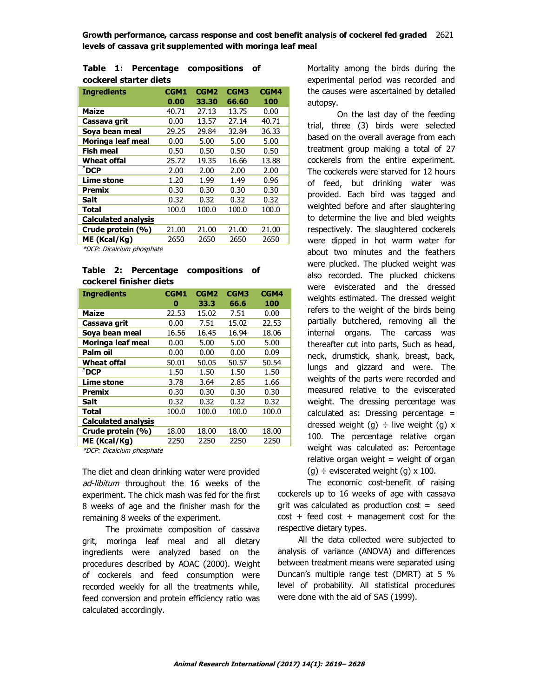**Growth performance, carcass response and cost benefit analysis of cockerel fed graded** 2621 **levels of cassava grit supplemented with moringa leaf meal**

|  |                        | Table 1: Percentage compositions of |  |
|--|------------------------|-------------------------------------|--|
|  | cockerel starter diets |                                     |  |

| <b>Ingredients</b>         | CGM1  | CGM <sub>2</sub> | CGM3  | CGM4  |
|----------------------------|-------|------------------|-------|-------|
|                            | 0.00  | 33.30            | 66.60 | 100   |
| <b>Maize</b>               | 40.71 | 27.13            | 13.75 | 0.00  |
| Cassava grit               | 0.00  | 13.57            | 27.14 | 40.71 |
| Soya bean meal             | 29.25 | 29.84            | 32.84 | 36.33 |
| Moringa leaf meal          | 0.00  | 5.00             | 5.00  | 5.00  |
| <b>Fish meal</b>           | 0.50  | 0.50             | 0.50  | 0.50  |
| Wheat offal                | 25.72 | 19.35            | 16.66 | 13.88 |
| $^*$ DCP                   | 2.00  | 2.00             | 2.00  | 2.00  |
| <b>Lime stone</b>          | 1.20  | 1.99             | 1.49  | 0.96  |
| Premix                     | 0.30  | 0.30             | 0.30  | 0.30  |
| Salt                       | 0.32  | 0.32             | 0.32  | 0.32  |
| <b>Total</b>               | 100.0 | 100.0            | 100.0 | 100.0 |
| <b>Calculated analysis</b> |       |                  |       |       |
| Crude protein (%)          | 21.00 | 21.00            | 21.00 | 21.00 |
| ME (Kcal/Kg)               | 2650  | 2650             | 2650  | 2650  |

\*DCP: Dicalcium phosphate

#### **Table 2: Percentage compositions of cockerel finisher diets**

| <b>Ingredients</b>         | CGM1  | CGM <sub>2</sub> | CGM3  | CGM4  |
|----------------------------|-------|------------------|-------|-------|
|                            | 0     | 33.3             | 66.6  | 100   |
| <b>Maize</b>               | 22.53 | 15.02            | 7.51  | 0.00  |
| Cassava grit               | 0.00  | 7.51             | 15.02 | 22.53 |
| Soya bean meal             | 16.56 | 16.45            | 16.94 | 18.06 |
| Moringa leaf meal          | 0.00  | 5.00             | 5.00  | 5.00  |
| Palm oil                   | 0.00  | 0.00             | 0.00  | 0.09  |
| Wheat offal                | 50.01 | 50.05            | 50.57 | 50.54 |
| $^*$ DCP                   | 1.50  | 1.50             | 1.50  | 1.50  |
| Lime stone                 | 3.78  | 3.64             | 2.85  | 1.66  |
| Premix                     | 0.30  | 0.30             | 0.30  | 0.30  |
| Salt                       | 0.32  | 0.32             | 0.32  | 0.32  |
| Total                      | 100.0 | 100.0            | 100.0 | 100.0 |
| <b>Calculated analysis</b> |       |                  |       |       |
| Crude protein (%)          | 18.00 | 18.00            | 18.00 | 18.00 |
| ME (Kcal/Kg)               | 2250  | 2250             | 2250  | 2250  |

\*DCP: Dicalcium phosphate

The diet and clean drinking water were provided ad-libitum throughout the 16 weeks of the experiment. The chick mash was fed for the first 8 weeks of age and the finisher mash for the remaining 8 weeks of the experiment.

 The proximate composition of cassava grit, moringa leaf meal and all dietary ingredients were analyzed based on the procedures described by AOAC (2000). Weight of cockerels and feed consumption were recorded weekly for all the treatments while, feed conversion and protein efficiency ratio was calculated accordingly.

Mortality among the birds during the experimental period was recorded and the causes were ascertained by detailed autopsy.

On the last day of the feeding trial, three (3) birds were selected based on the overall average from each treatment group making a total of 27 cockerels from the entire experiment. The cockerels were starved for 12 hours of feed, but drinking water was provided. Each bird was tagged and weighted before and after slaughtering to determine the live and bled weights respectively. The slaughtered cockerels were dipped in hot warm water for about two minutes and the feathers were plucked. The plucked weight was also recorded. The plucked chickens were eviscerated and the dressed weights estimated. The dressed weight refers to the weight of the birds being partially butchered, removing all the internal organs. The carcass was thereafter cut into parts, Such as head, neck, drumstick, shank, breast, back, lungs and gizzard and were. The weights of the parts were recorded and measured relative to the eviscerated weight. The dressing percentage was calculated as: Dressing percentage = dressed weight (g)  $\div$  live weight (g) x 100. The percentage relative organ weight was calculated as: Percentage relative organ weight  $=$  weight of organ (g)  $\div$  eviscerated weight (g) x 100.

The economic cost-benefit of raising cockerels up to 16 weeks of age with cassava grit was calculated as production  $cost = seed$  $cost + feed cost + management cost for the$ respective dietary types.

 All the data collected were subjected to analysis of variance (ANOVA) and differences between treatment means were separated using Duncan's multiple range test (DMRT) at 5 % level of probability. All statistical procedures were done with the aid of SAS (1999).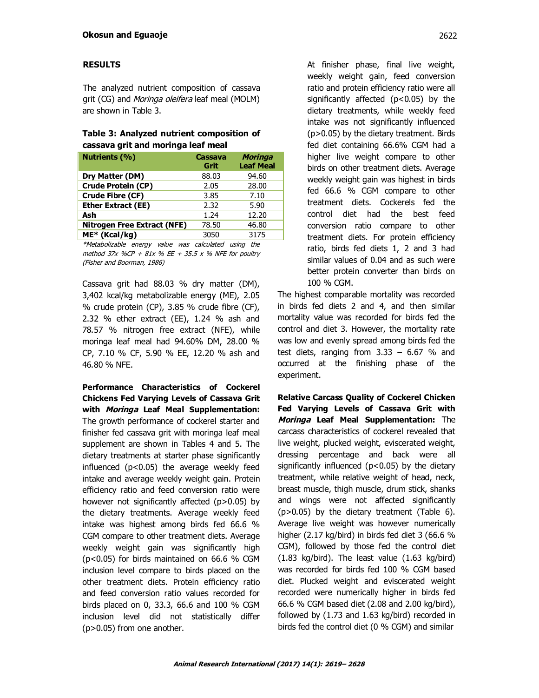## **RESULTS**

The analyzed nutrient composition of cassava grit (CG) and *Moringa oleifera* leaf meal (MOLM) are shown in Table 3.

## **Table 3: Analyzed nutrient composition of cassava grit and moringa leaf meal**

| <b>Cassava</b><br>Grit | <b>Moringa</b><br><b>Leaf Meal</b> |
|------------------------|------------------------------------|
| 88.03                  | 94.60                              |
| 2.05                   | 28.00                              |
| 3.85                   | 7.10                               |
| 2.32                   | 5.90                               |
| 1.24                   | 12.20                              |
| 78.50                  | 46.80                              |
| 3050                   | 3175                               |
|                        |                                    |

\*Metabolizable energy value was calculated using the method 37x %CP + 81x % EE + 35.5 x % NFE for poultry (Fisher and Boorman, 1986)

Cassava grit had 88.03 % dry matter (DM), 3,402 kcal/kg metabolizable energy (ME), 2.05 % crude protein (CP), 3.85 % crude fibre (CF), 2.32 % ether extract (EE), 1.24 % ash and 78.57 % nitrogen free extract (NFE), while moringa leaf meal had 94.60% DM, 28.00 % CP, 7.10 % CF, 5.90 % EE, 12.20 % ash and 46.80 % NFE.

**Performance Characteristics of Cockerel Chickens Fed Varying Levels of Cassava Grit with Moringa Leaf Meal Supplementation:**  The growth performance of cockerel starter and finisher fed cassava grit with moringa leaf meal supplement are shown in Tables 4 and 5. The dietary treatments at starter phase significantly influenced  $(p<0.05)$  the average weekly feed intake and average weekly weight gain. Protein efficiency ratio and feed conversion ratio were however not significantly affected (p>0.05) by the dietary treatments. Average weekly feed intake was highest among birds fed 66.6 % CGM compare to other treatment diets. Average weekly weight gain was significantly high (p<0.05) for birds maintained on 66.6 % CGM inclusion level compare to birds placed on the other treatment diets. Protein efficiency ratio and feed conversion ratio values recorded for birds placed on 0, 33.3, 66.6 and 100 % CGM inclusion level did not statistically differ (p>0.05) from one another.

At finisher phase, final live weight, weekly weight gain, feed conversion ratio and protein efficiency ratio were all significantly affected  $(p<0.05)$  by the dietary treatments, while weekly feed intake was not significantly influenced (p>0.05) by the dietary treatment. Birds fed diet containing 66.6% CGM had a higher live weight compare to other birds on other treatment diets. Average weekly weight gain was highest in birds fed 66.6 % CGM compare to other treatment diets. Cockerels fed the control diet had the best feed conversion ratio compare to other treatment diets. For protein efficiency ratio, birds fed diets 1, 2 and 3 had similar values of 0.04 and as such were better protein converter than birds on 100 % CGM.

The highest comparable mortality was recorded in birds fed diets 2 and 4, and then similar mortality value was recorded for birds fed the control and diet 3. However, the mortality rate was low and evenly spread among birds fed the test diets, ranging from  $3.33 - 6.67$  % and occurred at the finishing phase of the experiment.

**Relative Carcass Quality of Cockerel Chicken Fed Varying Levels of Cassava Grit with Moringa Leaf Meal Supplementation:** The carcass characteristics of cockerel revealed that live weight, plucked weight, eviscerated weight, dressing percentage and back were all significantly influenced ( $p$ <0.05) by the dietary treatment, while relative weight of head, neck, breast muscle, thigh muscle, drum stick, shanks and wings were not affected significantly (p>0.05) by the dietary treatment (Table 6). Average live weight was however numerically higher (2.17 kg/bird) in birds fed diet 3 (66.6 % CGM), followed by those fed the control diet (1.83 kg/bird). The least value (1.63 kg/bird) was recorded for birds fed 100 % CGM based diet. Plucked weight and eviscerated weight recorded were numerically higher in birds fed 66.6 % CGM based diet (2.08 and 2.00 kg/bird), followed by (1.73 and 1.63 kg/bird) recorded in birds fed the control diet (0 % CGM) and similar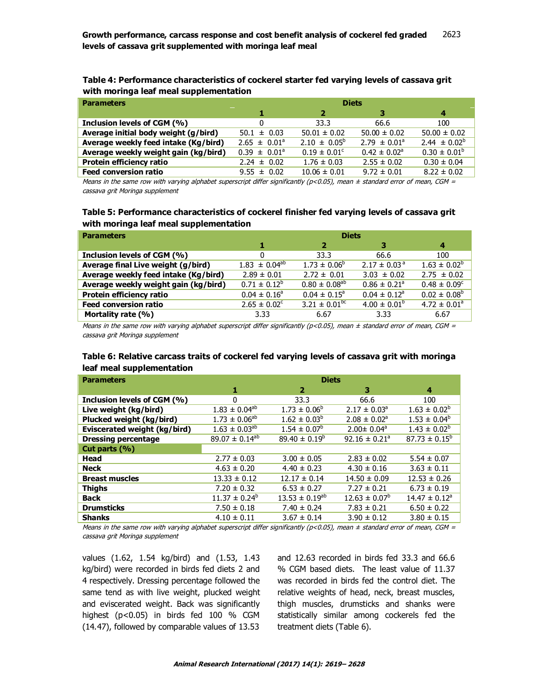| Table 4: Performance characteristics of cockerel starter fed varying levels of cassava grit |
|---------------------------------------------------------------------------------------------|
| with moringa leaf meal supplementation                                                      |

| <b>Parameters</b>                    | <b>Diets</b>            |                         |                              |                   |  |
|--------------------------------------|-------------------------|-------------------------|------------------------------|-------------------|--|
|                                      | 1                       | 2                       | з                            | 4                 |  |
| Inclusion levels of CGM (%)          | 0                       | 33.3                    | 66.6                         | 100               |  |
| Average initial body weight (g/bird) | $50.1 \pm 0.03$         | $50.01 \pm 0.02$        | $50.00 \pm 0.02$             | $50.00 \pm 0.02$  |  |
| Average weekly feed intake (Kg/bird) | $2.65 \pm 0.01^a$       | $2.10 \pm 0.05^{\circ}$ | $2.79 \pm 0.01^{\circ}$      | $2.44 \pm 0.02^b$ |  |
| Average weekly weight gain (kg/bird) | $0.39 \pm 0.01^{\circ}$ | $0.19 \pm 0.01^{\circ}$ | $0.42 \pm 0.02$ <sup>a</sup> | $0.30 \pm 0.01^b$ |  |
| Protein efficiency ratio             | $2.24 \pm 0.02$         | $1.76 \pm 0.03$         | $2.55 \pm 0.02$              | $0.30 \pm 0.04$   |  |
| <b>Feed conversion ratio</b>         | $9.55 \pm 0.02$         | $10.06 \pm 0.01$        | $9.72 \pm 0.01$              | $8.22 \pm 0.02$   |  |

Means in the same row with varying alphabet superscript differ significantly (p<0.05), mean  $\pm$  standard error of mean, CGM = cassava grit Moringa supplement

# **Table 5: Performance characteristics of cockerel finisher fed varying levels of cassava grit with moringa leaf meal supplementation**

| <b>Parameters</b>                    | <b>Diets</b>            |                               |                              |                         |
|--------------------------------------|-------------------------|-------------------------------|------------------------------|-------------------------|
|                                      | 1                       | 2                             | з                            | 4                       |
| Inclusion levels of CGM (%)          | 0                       | 33.3                          | 66.6                         | 100                     |
| Average final Live weight (g/bird)   | $1.83 \pm 0.04^{ab}$    | $1.73 \pm 0.06^{\circ}$       | $2.17 \pm 0.03^{\circ}$      | $1.63 \pm 0.02^b$       |
| Average weekly feed intake (Kg/bird) | $2.89 \pm 0.01$         | $2.72 \pm 0.01$               | $3.03 \pm 0.02$              | $2.75 \pm 0.02$         |
| Average weekly weight gain (kg/bird) | $0.71 \pm 0.12^b$       | $0.80 \pm 0.08^{ab}$          | $0.86 \pm 0.21$ <sup>a</sup> | $0.48 \pm 0.09^{\circ}$ |
| Protein efficiency ratio             | $0.04 \pm 0.16^{\circ}$ | $0.04 \pm 0.15^{\circ}$       | $0.04 \pm 0.12^a$            | $0.02 \pm 0.08^{\circ}$ |
| <b>Feed conversion ratio</b>         | $2.65 \pm 0.02^{\circ}$ | $3.21 \pm 0.01$ <sup>bc</sup> | $4.00 \pm 0.01^b$            | $4.72 \pm 0.01^a$       |
| Mortality rate (%)                   | 3.33                    | 6.67                          | 3.33                         | 6.67                    |

Means in the same row with varying alphabet superscript differ significantly ( $p<0.05$ ), mean  $\pm$  standard error of mean, CGM = cassava grit Moringa supplement

## **Table 6: Relative carcass traits of cockerel fed varying levels of cassava grit with moringa leaf meal supplementation**

| <b>Parameters</b>            | <b>Diets</b>          |                          |                               |                          |  |
|------------------------------|-----------------------|--------------------------|-------------------------------|--------------------------|--|
|                              | 1                     | 2                        | з                             | 4                        |  |
| Inclusion levels of CGM (%)  | 0                     | 33.3                     | 66.6                          | 100                      |  |
| Live weight (kg/bird)        | $1.83 \pm 0.04^{ab}$  | $1.73 \pm 0.06^b$        | $2.17 \pm 0.03^{\circ}$       | $1.63 \pm 0.02^b$        |  |
| Plucked weight (kg/bird)     | $1.73 \pm 0.06^{ab}$  | $1.62 \pm 0.03^b$        | $2.08 \pm 0.02^a$             | $1.53 \pm 0.04^b$        |  |
| Eviscerated weight (kg/bird) | $1.63 \pm 0.03^{ab}$  | $1.54 \pm 0.07^b$        | $2.00 \pm 0.04^a$             | $1.43 \pm 0.02^b$        |  |
| <b>Dressing percentage</b>   | $89.07 \pm 0.14^{ab}$ | $89.40 \pm 0.19^{\circ}$ | 92.16 $\pm$ 0.21 <sup>a</sup> | $87.73 \pm 0.15^{\circ}$ |  |
| Cut parts $(\% )$            |                       |                          |                               |                          |  |
| Head                         | $2.77 \pm 0.03$       | $3.00 \pm 0.05$          | $2.83 \pm 0.02$               | $5.54 \pm 0.07$          |  |
| <b>Neck</b>                  | $4.63 \pm 0.20$       | $4.40 \pm 0.23$          | $4.30 \pm 0.16$               | $3.63 \pm 0.11$          |  |
| <b>Breast muscles</b>        | $13.33 \pm 0.12$      | $12.17 \pm 0.14$         | $14.50 \pm 0.09$              | $12.53 \pm 0.26$         |  |
| <b>Thighs</b>                | $7.20 \pm 0.32$       | $6.53 \pm 0.27$          | $7.27 \pm 0.21$               | $6.73 \pm 0.19$          |  |
| <b>Back</b>                  | $11.37 \pm 0.24^b$    | $13.53 \pm 0.19^{ab}$    | $12.63 \pm 0.07^b$            | $14.47 \pm 0.12^a$       |  |
| <b>Drumsticks</b>            | $7.50 \pm 0.18$       | $7.40 \pm 0.24$          | $7.83 \pm 0.21$               | $6.50 \pm 0.22$          |  |
| <b>Shanks</b>                | $4.10 \pm 0.11$       | $3.67 \pm 0.14$          | $3.90 \pm 0.12$               | $3.80 \pm 0.15$          |  |

Means in the same row with varying alphabet superscript differ significantly ( $p$ <0.05), mean  $\pm$  standard error of mean, CGM = cassava grit Moringa supplement

values (1.62, 1.54 kg/bird) and (1.53, 1.43 kg/bird) were recorded in birds fed diets 2 and 4 respectively. Dressing percentage followed the same tend as with live weight, plucked weight and eviscerated weight. Back was significantly highest (p<0.05) in birds fed 100 % CGM (14.47), followed by comparable values of 13.53

and 12.63 recorded in birds fed 33.3 and 66.6 % CGM based diets. The least value of 11.37 was recorded in birds fed the control diet. The relative weights of head, neck, breast muscles, thigh muscles, drumsticks and shanks were statistically similar among cockerels fed the treatment diets (Table 6).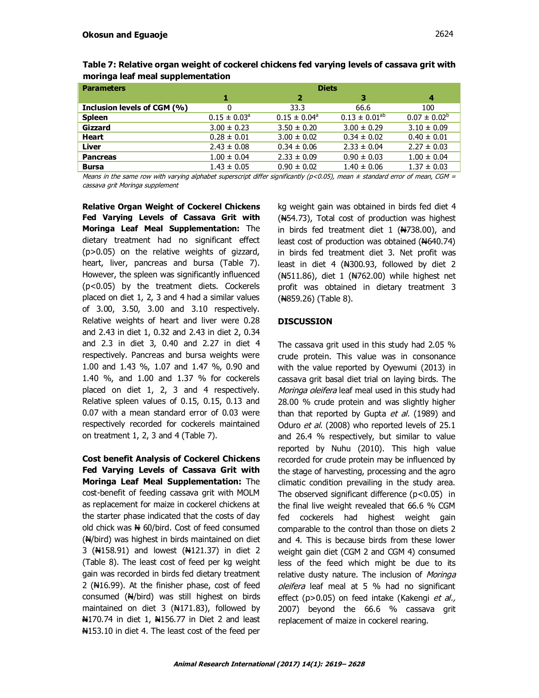| <b>Parameters</b>           | <b>Diets</b>            |                         |                      |                   |
|-----------------------------|-------------------------|-------------------------|----------------------|-------------------|
|                             | 1                       | 2                       | з                    | 4                 |
| Inclusion levels of CGM (%) | 0                       | 33.3                    | 66.6                 | 100               |
| <b>Spleen</b>               | $0.15 \pm 0.03^{\circ}$ | $0.15 \pm 0.04^{\circ}$ | $0.13 \pm 0.01^{ab}$ | $0.07 \pm 0.02^b$ |
| Gizzard                     | $3.00 \pm 0.23$         | $3.50 \pm 0.20$         | $3.00 \pm 0.29$      | $3.10 \pm 0.09$   |
| <b>Heart</b>                | $0.28 \pm 0.01$         | $3.00 \pm 0.02$         | $0.34 \pm 0.02$      | $0.40 \pm 0.01$   |
| Liver                       | $2.43 \pm 0.08$         | $0.34 \pm 0.06$         | $2.33 \pm 0.04$      | $2.27 \pm 0.03$   |
| <b>Pancreas</b>             | $1.00 \pm 0.04$         | $2.33 \pm 0.09$         | $0.90 \pm 0.03$      | $1.00 \pm 0.04$   |
| <b>Bursa</b>                | $1.43 \pm 0.05$         | $0.90 \pm 0.02$         | $1.40 \pm 0.06$      | $1.37 \pm 0.03$   |

**Table 7: Relative organ weight of cockerel chickens fed varying levels of cassava grit with moringa leaf meal supplementation**

Means in the same row with varying alphabet superscript differ significantly ( $p$ <0.05), mean  $\pm$  standard error of mean, CGM = cassava grit Moringa supplement

**Relative Organ Weight of Cockerel Chickens Fed Varying Levels of Cassava Grit with Moringa Leaf Meal Supplementation:** The dietary treatment had no significant effect (p>0.05) on the relative weights of gizzard, heart, liver, pancreas and bursa (Table 7). However, the spleen was significantly influenced (p<0.05) by the treatment diets. Cockerels placed on diet 1, 2, 3 and 4 had a similar values of 3.00, 3.50, 3.00 and 3.10 respectively. Relative weights of heart and liver were 0.28 and 2.43 in diet 1, 0.32 and 2.43 in diet 2, 0.34 and 2.3 in diet 3, 0.40 and 2.27 in diet 4 respectively. Pancreas and bursa weights were 1.00 and 1.43 %, 1.07 and 1.47 %, 0.90 and 1.40 %, and 1.00 and 1.37 % for cockerels placed on diet 1, 2, 3 and 4 respectively. Relative spleen values of 0.15, 0.15, 0.13 and 0.07 with a mean standard error of 0.03 were respectively recorded for cockerels maintained on treatment 1, 2, 3 and 4 (Table 7).

**Cost benefit Analysis of Cockerel Chickens Fed Varying Levels of Cassava Grit with Moringa Leaf Meal Supplementation:** The cost-benefit of feeding cassava grit with MOLM as replacement for maize in cockerel chickens at the starter phase indicated that the costs of day old chick was  $\frac{N}{N}$  60/bird. Cost of feed consumed  $(A)/$ bird) was highest in birds maintained on diet 3 (N4158.91) and lowest (N4121.37) in diet 2 (Table 8). The least cost of feed per kg weight gain was recorded in birds fed dietary treatment 2 ( $\text{H16.99}$ ). At the finisher phase, cost of feed consumed  $(A)/\text{bird}$  was still highest on birds maintained on diet 3  $(H171.83)$ , followed by N170.74 in diet 1, N156.77 in Diet 2 and least N153.10 in diet 4. The least cost of the feed per kg weight gain was obtained in birds fed diet 4  $(M54.73)$ , Total cost of production was highest in birds fed treatment diet  $1$  ( $\text{H738.00}$ ), and least cost of production was obtained  $(\text{H}640.74)$ in birds fed treatment diet 3. Net profit was least in diet 4 (N300.93, followed by diet 2 (#511.86), diet 1 (#762.00) while highest net profit was obtained in dietary treatment 3 (N859.26) (Table 8).

# **DISCUSSION**

The cassava grit used in this study had 2.05 % crude protein. This value was in consonance with the value reported by Oyewumi (2013) in cassava grit basal diet trial on laying birds. The Moringa oleifera leaf meal used in this study had 28.00 % crude protein and was slightly higher than that reported by Gupta *et al.* (1989) and Oduro et al. (2008) who reported levels of 25.1 and 26.4 % respectively, but similar to value reported by Nuhu (2010). This high value recorded for crude protein may be influenced by the stage of harvesting, processing and the agro climatic condition prevailing in the study area. The observed significant difference  $(p<0.05)$  in the final live weight revealed that 66.6 % CGM fed cockerels had highest weight gain comparable to the control than those on diets 2 and 4. This is because birds from these lower weight gain diet (CGM 2 and CGM 4) consumed less of the feed which might be due to its relative dusty nature. The inclusion of Moringa oleifera leaf meal at 5 % had no significant effect (p>0.05) on feed intake (Kakengi et al., 2007) beyond the 66.6 % cassava grit replacement of maize in cockerel rearing.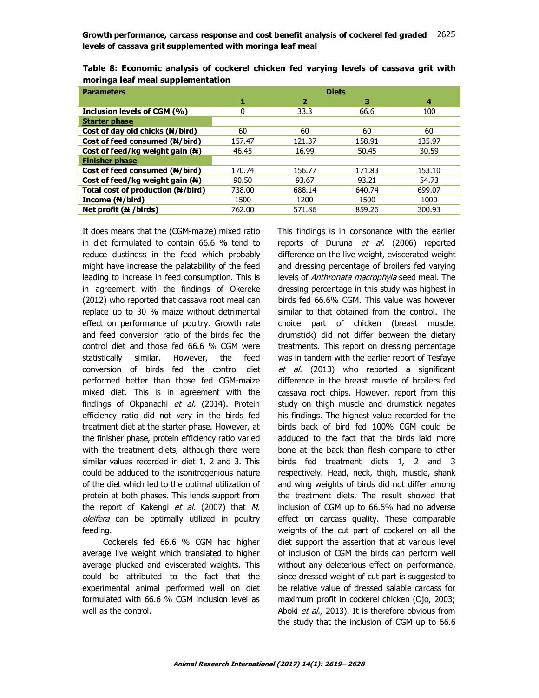**Growth performance, carcass response and cost benefit analysis of cockerel fed graded** 2621 2625**levels of cassava grit supplemented with moringa leaf meal**

| <b>Parameters</b>                 | <b>Diets</b> |                |        |        |
|-----------------------------------|--------------|----------------|--------|--------|
|                                   | 1            | $\overline{2}$ | з      | 4      |
| Inclusion levels of CGM (%)       | 0            | 33.3           | 66.6   | 100    |
| <b>Starter phase</b>              |              |                |        |        |
| Cost of day old chicks (N/bird)   | 60           | 60             | 60     | 60     |
| Cost of feed consumed (N/bird)    | 157.47       | 121.37         | 158.91 | 135.97 |
| Cost of feed/kg weight gain (N)   | 46.45        | 16.99          | 50.45  | 30.59  |
| <b>Finisher phase</b>             |              |                |        |        |
| Cost of feed consumed (N/bird)    | 170.74       | 156.77         | 171.83 | 153.10 |
| Cost of feed/kg weight gain (N)   | 90.50        | 93.67          | 93.21  | 54.73  |
| Total cost of production (N/bird) | 738.00       | 688.14         | 640.74 | 699.07 |
| Income (N/bird)                   | 1500         | 1200           | 1500   | 1000   |
| Net profit (N / birds)            | 762.00       | 571.86         | 859.26 | 300.93 |

**Table 8: Economic analysis of cockerel chicken fed varying levels of cassava grit with moringa leaf meal supplementation**

It does means that the (CGM-maize) mixed ratio in diet formulated to contain 66.6 % tend to reduce dustiness in the feed which probably might have increase the palatability of the feed leading to increase in feed consumption. This is in agreement with the findings of Okereke (2012) who reported that cassava root meal can replace up to 30 % maize without detrimental effect on performance of poultry. Growth rate and feed conversion ratio of the birds fed the control diet and those fed 66.6 % CGM were statistically similar. However, the feed conversion of birds fed the control diet performed better than those fed CGM-maize mixed diet. This is in agreement with the findings of Okpanachi et al. (2014). Protein efficiency ratio did not vary in the birds fed treatment diet at the starter phase. However, at the finisher phase, protein efficiency ratio varied with the treatment diets, although there were similar values recorded in diet 1, 2 and 3. This could be adduced to the isonitrogenious nature of the diet which led to the optimal utilization of protein at both phases. This lends support from the report of Kakengi et al. (2007) that M. oleifera can be optimally utilized in poultry feeding.

 Cockerels fed 66.6 % CGM had higher average live weight which translated to higher average plucked and eviscerated weights. This could be attributed to the fact that the experimental animal performed well on diet formulated with 66.6 % CGM inclusion level as well as the control.

This findings is in consonance with the earlier reports of Duruna et al. (2006) reported difference on the live weight, eviscerated weight and dressing percentage of broilers fed varying levels of Anthronata macrophyla seed meal. The dressing percentage in this study was highest in birds fed 66.6% CGM. This value was however similar to that obtained from the control. The choice part of chicken (breast muscle, drumstick) did not differ between the dietary treatments. This report on dressing percentage was in tandem with the earlier report of Tesfaye et al. (2013) who reported a significant difference in the breast muscle of broilers fed cassava root chips. However, report from this study on thigh muscle and drumstick negates his findings. The highest value recorded for the birds back of bird fed 100% CGM could be adduced to the fact that the birds laid more bone at the back than flesh compare to other birds fed treatment diets 1, 2 and 3 respectively. Head, neck, thigh, muscle, shank and wing weights of birds did not differ among the treatment diets. The result showed that inclusion of CGM up to 66.6% had no adverse effect on carcass quality. These comparable weights of the cut part of cockerel on all the diet support the assertion that at various level of inclusion of CGM the birds can perform well without any deleterious effect on performance, since dressed weight of cut part is suggested to be relative value of dressed salable carcass for maximum profit in cockerel chicken (Ojo, 2003; Aboki et al., 2013). It is therefore obvious from the study that the inclusion of CGM up to 66.6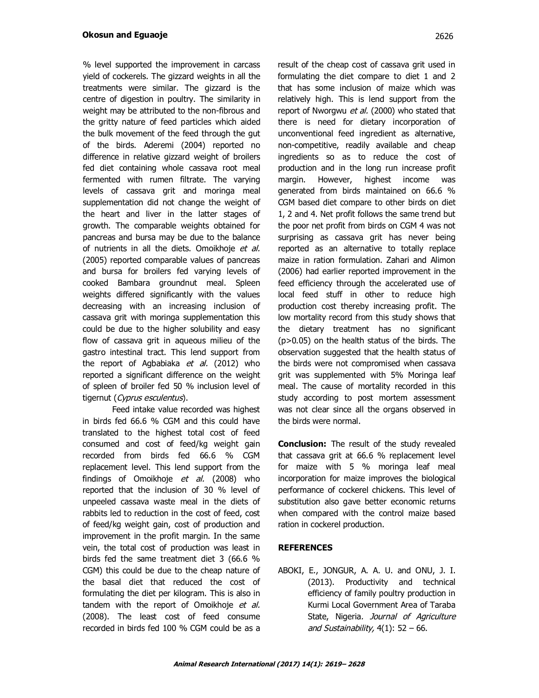% level supported the improvement in carcass yield of cockerels. The gizzard weights in all the treatments were similar. The gizzard is the centre of digestion in poultry. The similarity in weight may be attributed to the non-fibrous and the gritty nature of feed particles which aided the bulk movement of the feed through the gut of the birds. Aderemi (2004) reported no difference in relative gizzard weight of broilers fed diet containing whole cassava root meal fermented with rumen filtrate. The varying levels of cassava grit and moringa meal supplementation did not change the weight of the heart and liver in the latter stages of growth. The comparable weights obtained for pancreas and bursa may be due to the balance of nutrients in all the diets. Omoikhoje et al. (2005) reported comparable values of pancreas and bursa for broilers fed varying levels of cooked Bambara groundnut meal. Spleen weights differed significantly with the values decreasing with an increasing inclusion of cassava grit with moringa supplementation this could be due to the higher solubility and easy flow of cassava grit in aqueous milieu of the gastro intestinal tract. This lend support from the report of Agbabiaka et al. (2012) who reported a significant difference on the weight of spleen of broiler fed 50 % inclusion level of tigernut (Cyprus esculentus).

Feed intake value recorded was highest in birds fed 66.6 % CGM and this could have translated to the highest total cost of feed consumed and cost of feed/kg weight gain recorded from birds fed 66.6 % CGM replacement level. This lend support from the findings of Omoikhoje et al. (2008) who reported that the inclusion of 30 % level of unpeeled cassava waste meal in the diets of rabbits led to reduction in the cost of feed, cost of feed/kg weight gain, cost of production and improvement in the profit margin. In the same vein, the total cost of production was least in birds fed the same treatment diet 3 (66.6 % CGM) this could be due to the cheap nature of the basal diet that reduced the cost of formulating the diet per kilogram. This is also in tandem with the report of Omoikhoje et al. (2008). The least cost of feed consume recorded in birds fed 100 % CGM could be as a

result of the cheap cost of cassava grit used in formulating the diet compare to diet 1 and 2 that has some inclusion of maize which was relatively high. This is lend support from the report of Nworgwu et al. (2000) who stated that there is need for dietary incorporation of unconventional feed ingredient as alternative, non-competitive, readily available and cheap ingredients so as to reduce the cost of production and in the long run increase profit margin. However, highest income was generated from birds maintained on 66.6 % CGM based diet compare to other birds on diet 1, 2 and 4. Net profit follows the same trend but the poor net profit from birds on CGM 4 was not surprising as cassava grit has never being reported as an alternative to totally replace maize in ration formulation. Zahari and Alimon (2006) had earlier reported improvement in the feed efficiency through the accelerated use of local feed stuff in other to reduce high production cost thereby increasing profit. The low mortality record from this study shows that the dietary treatment has no significant (p>0.05) on the health status of the birds. The observation suggested that the health status of the birds were not compromised when cassava grit was supplemented with 5% Moringa leaf meal. The cause of mortality recorded in this study according to post mortem assessment was not clear since all the organs observed in the birds were normal.

**Conclusion:** The result of the study revealed that cassava grit at 66.6 % replacement level for maize with 5 % moringa leaf meal incorporation for maize improves the biological performance of cockerel chickens. This level of substitution also gave better economic returns when compared with the control maize based ration in cockerel production.

#### **REFERENCES**

ABOKI, E., JONGUR, A. A. U. and ONU, J. I. (2013). Productivity and technical efficiency of family poultry production in Kurmi Local Government Area of Taraba State, Nigeria. Journal of Agriculture and Sustainability,  $4(1)$ : 52 – 66.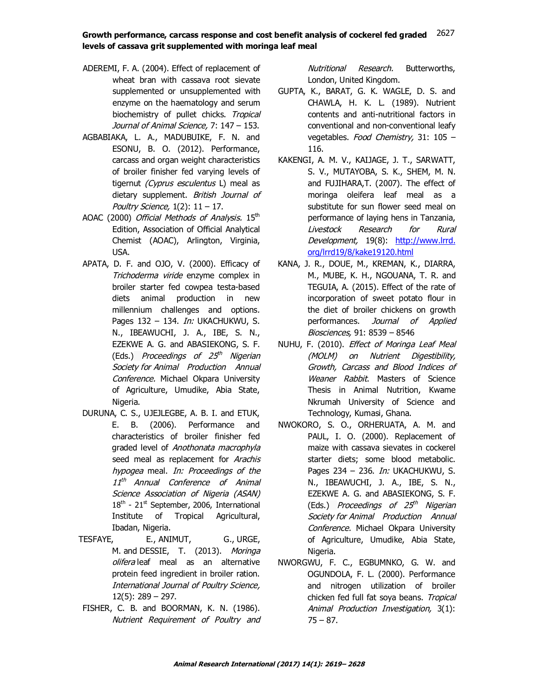## **Growth performance, carcass response and cost benefit analysis of cockerel fed graded** 2621 2627**levels of cassava grit supplemented with moringa leaf meal**

- ADEREMI, F. A. (2004). Effect of replacement of wheat bran with cassava root sievate supplemented or unsupplemented with enzyme on the haematology and serum biochemistry of pullet chicks. Tropical Journal of Animal Science, 7: 147 - 153.
- AGBABIAKA, L. A., MADUBUIKE, F. N. and ESONU, B. O. (2012). Performance, carcass and organ weight characteristics of broiler finisher fed varying levels of tigernut (Cyprus esculentus L) meal as dietary supplement. British Journal of Poultry Science,  $1(2)$ :  $11 - 17$ .
- AOAC (2000) Official Methods of Analysis. 15th Edition, Association of Official Analytical Chemist (AOAC), Arlington, Virginia, USA.
- APATA, D. F. and OJO, V. (2000). Efficacy of Trichoderma viride enzyme complex in broiler starter fed cowpea testa-based diets animal production in new millennium challenges and options. Pages 132 – 134. *In:* UKACHUKWU, S. N., IBEAWUCHI, J. A., IBE, S. N., EZEKWE A. G. and ABASIEKONG, S. F. (Eds.) *Proceedings of 25<sup>th</sup> Nigerian* Society for Animal Production Annual Conference. Michael Okpara University of Agriculture, Umudike, Abia State, Nigeria.
- DURUNA, C. S., UJEJLEGBE, A. B. I. and ETUK, E. B. (2006). Performance and characteristics of broiler finisher fed graded level of Anothonata macrophyla seed meal as replacement for Arachis hypogea meal. In: Proceedings of the 11<sup>th</sup> Annual Conference of Animal Science Association of Nigeria (ASAN)  $18<sup>th</sup>$  - 21<sup>st</sup> September, 2006, International Institute of Tropical Agricultural, Ibadan, Nigeria.
- TESFAYE, E., ANIMUT, G., URGE, M. and DESSIE, T. (2013). Moringa olifera leaf meal as an alternative protein feed ingredient in broiler ration. International Journal of Poultry Science, 12(5): 289 – 297.
- FISHER, C. B. and BOORMAN, K. N. (1986). Nutrient Requirement of Poultry and

Nutritional Research. Butterworths, London, United Kingdom.

- GUPTA, K., BARAT, G. K. WAGLE, D. S. and CHAWLA, H. K. L. (1989). Nutrient contents and anti-nutritional factors in conventional and non-conventional leafy vegetables. Food Chemistry, 31: 105 -116.
- KAKENGI, A. M. V., KAIJAGE, J. T., SARWATT, S. V., MUTAYOBA, S. K., SHEM, M. N. and FUJIHARA,T. (2007). The effect of moringa oleifera leaf meal as a substitute for sun flower seed meal on performance of laying hens in Tanzania, Livestock Research for Rural Development, 19(8): http://www.lrrd. org/lrrd19/8/kake19120.html
- KANA, J. R., DOUE, M., KREMAN, K., DIARRA, M., MUBE, K. H., NGOUANA, T. R. and TEGUIA, A. (2015). Effect of the rate of incorporation of sweet potato flour in the diet of broiler chickens on growth performances. Journal of Applied Biosciences, 91: 8539 – 8546
- NUHU, F. (2010). Effect of Moringa Leaf Meal (MOLM) on Nutrient Digestibility, Growth, Carcass and Blood Indices of Weaner Rabbit. Masters of Science Thesis in Animal Nutrition, Kwame Nkrumah University of Science and Technology, Kumasi, Ghana.
- NWOKORO, S. O., ORHERUATA, A. M. and PAUL, I. O. (2000). Replacement of maize with cassava sievates in cockerel starter diets; some blood metabolic. Pages 234 – 236. *In:* UKACHUKWU, S. N., IBEAWUCHI, J. A., IBE, S. N., EZEKWE A. G. and ABASIEKONG, S. F. (Eds.) *Proceedings of 25<sup>th</sup> Nigerian* Society for Animal Production Annual Conference. Michael Okpara University of Agriculture, Umudike, Abia State, Nigeria.
- NWORGWU, F. C., EGBUMNKO, G. W. and OGUNDOLA, F. L. (2000). Performance and nitrogen utilization of broiler chicken fed full fat soya beans. Tropical Animal Production Investigation, 3(1): 75 – 87.